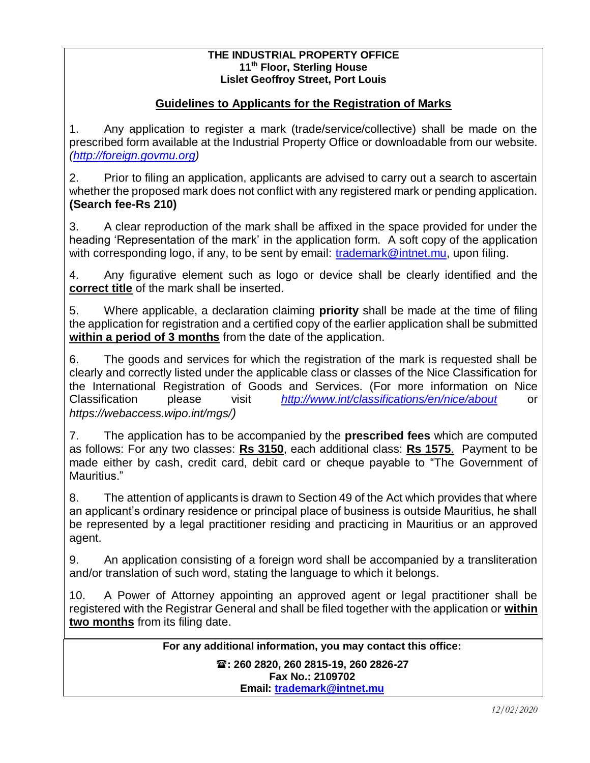#### **THE INDUSTRIAL PROPERTY OFFICE 11th Floor, Sterling House Lislet Geoffroy Street, Port Louis**

## **Guidelines to Applicants for the Registration of Marks**

1. Any application to register a mark (trade/service/collective) shall be made on the prescribed form available at the Industrial Property Office or downloadable from our website. *[\(http://foreign.govmu.org\)](http://foreign.govmu.org/)*

2. Prior to filing an application, applicants are advised to carry out a search to ascertain whether the proposed mark does not conflict with any registered mark or pending application. **(Search fee-Rs 210)**

3. A clear reproduction of the mark shall be affixed in the space provided for under the heading 'Representation of the mark' in the application form. A soft copy of the application with corresponding logo, if any, to be sent by email: [trademark@intnet.mu,](mailto:trademark@intnet.mu) upon filing.

4. Any figurative element such as logo or device shall be clearly identified and the **correct title** of the mark shall be inserted.

5. Where applicable, a declaration claiming **priority** shall be made at the time of filing the application for registration and a certified copy of the earlier application shall be submitted **within a period of 3 months** from the date of the application.

6. The goods and services for which the registration of the mark is requested shall be clearly and correctly listed under the applicable class or classes of the Nice Classification for the International Registration of Goods and Services. (For more information on Nice Classification please visit *<http://www.int/classifications/en/nice/about>* or *https://webaccess.wipo.int/mgs/)*

7. The application has to be accompanied by the **prescribed fees** which are computed as follows: For any two classes: **Rs 3150**, each additional class: **Rs 1575**. Payment to be made either by cash, credit card, debit card or cheque payable to "The Government of Mauritius."

8. The attention of applicants is drawn to Section 49 of the Act which provides that where an applicant's ordinary residence or principal place of business is outside Mauritius, he shall be represented by a legal practitioner residing and practicing in Mauritius or an approved agent.

9. An application consisting of a foreign word shall be accompanied by a transliteration and/or translation of such word, stating the language to which it belongs.

10. A Power of Attorney appointing an approved agent or legal practitioner shall be registered with the Registrar General and shall be filed together with the application or **within two months** from its filing date.

**For any additional information, you may contact this office:**

**: 260 2820, 260 2815-19, 260 2826-27 Fax No.: 2109702 Email: [trademark@intnet.mu](mailto:trademark@intnet.mu)**